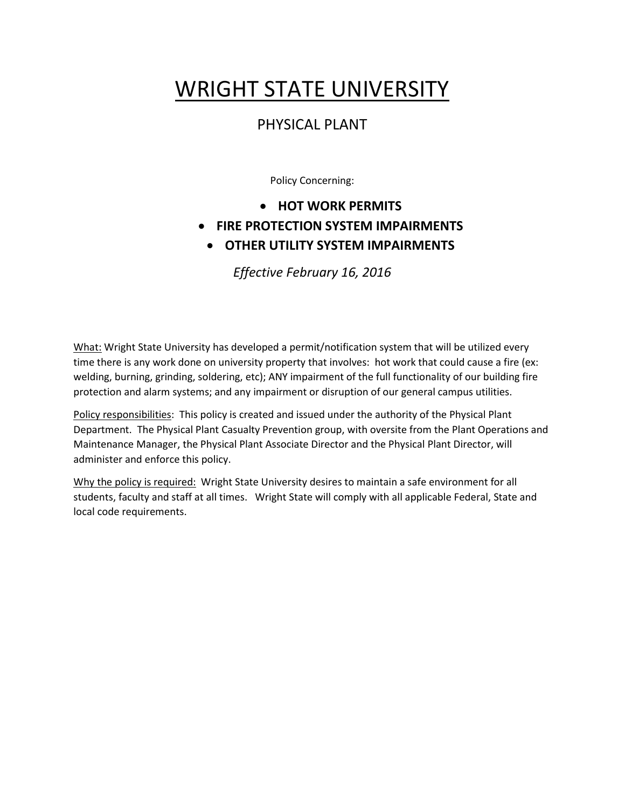# WRIGHT STATE UNIVERSITY

## PHYSICAL PLANT

Policy Concerning:

- **HOT WORK PERMITS**
- **FIRE PROTECTION SYSTEM IMPAIRMENTS**
	- **OTHER UTILITY SYSTEM IMPAIRMENTS**

*Effective February 16, 2016*

What: Wright State University has developed a permit/notification system that will be utilized every time there is any work done on university property that involves: hot work that could cause a fire (ex: welding, burning, grinding, soldering, etc); ANY impairment of the full functionality of our building fire protection and alarm systems; and any impairment or disruption of our general campus utilities.

Policy responsibilities: This policy is created and issued under the authority of the Physical Plant Department. The Physical Plant Casualty Prevention group, with oversite from the Plant Operations and Maintenance Manager, the Physical Plant Associate Director and the Physical Plant Director, will administer and enforce this policy.

Why the policy is required: Wright State University desires to maintain a safe environment for all students, faculty and staff at all times. Wright State will comply with all applicable Federal, State and local code requirements.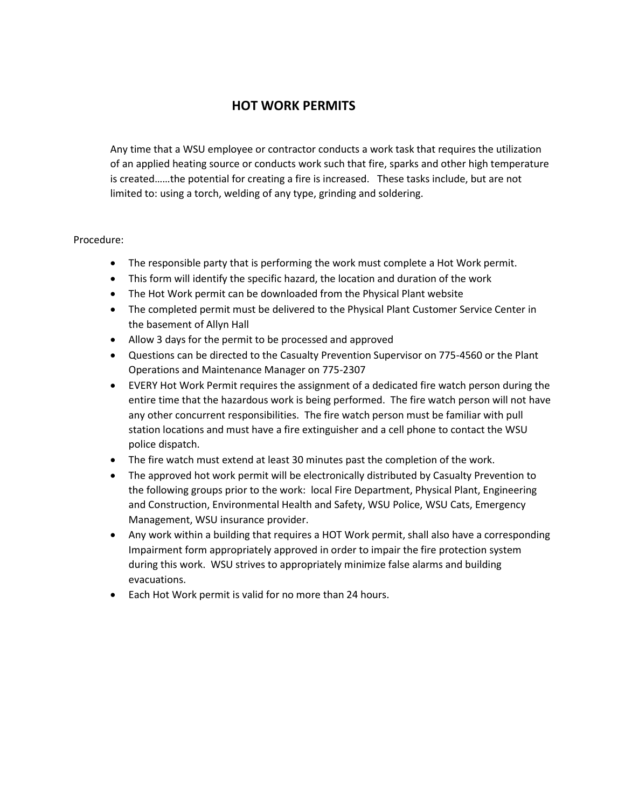## **HOT WORK PERMITS**

Any time that a WSU employee or contractor conducts a work task that requires the utilization of an applied heating source or conducts work such that fire, sparks and other high temperature is created……the potential for creating a fire is increased. These tasks include, but are not limited to: using a torch, welding of any type, grinding and soldering.

#### Procedure:

- The responsible party that is performing the work must complete a Hot Work permit.
- This form will identify the specific hazard, the location and duration of the work
- The Hot Work permit can be downloaded from the Physical Plant website
- The completed permit must be delivered to the Physical Plant Customer Service Center in the basement of Allyn Hall
- Allow 3 days for the permit to be processed and approved
- Questions can be directed to the Casualty Prevention Supervisor on 775-4560 or the Plant Operations and Maintenance Manager on 775-2307
- EVERY Hot Work Permit requires the assignment of a dedicated fire watch person during the entire time that the hazardous work is being performed. The fire watch person will not have any other concurrent responsibilities. The fire watch person must be familiar with pull station locations and must have a fire extinguisher and a cell phone to contact the WSU police dispatch.
- The fire watch must extend at least 30 minutes past the completion of the work.
- The approved hot work permit will be electronically distributed by Casualty Prevention to the following groups prior to the work: local Fire Department, Physical Plant, Engineering and Construction, Environmental Health and Safety, WSU Police, WSU Cats, Emergency Management, WSU insurance provider.
- Any work within a building that requires a HOT Work permit, shall also have a corresponding Impairment form appropriately approved in order to impair the fire protection system during this work. WSU strives to appropriately minimize false alarms and building evacuations.
- Each Hot Work permit is valid for no more than 24 hours.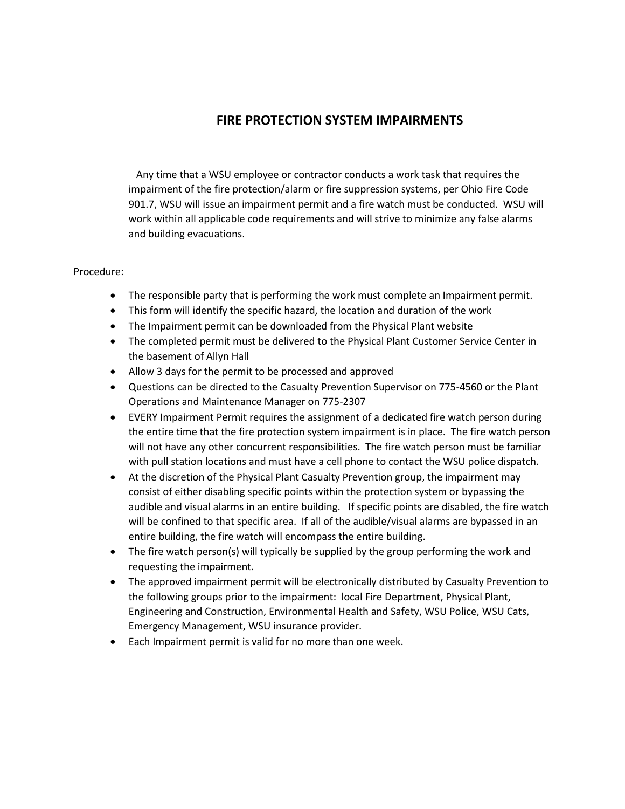## **FIRE PROTECTION SYSTEM IMPAIRMENTS**

 Any time that a WSU employee or contractor conducts a work task that requires the impairment of the fire protection/alarm or fire suppression systems, per Ohio Fire Code 901.7, WSU will issue an impairment permit and a fire watch must be conducted. WSU will work within all applicable code requirements and will strive to minimize any false alarms and building evacuations.

#### Procedure:

- The responsible party that is performing the work must complete an Impairment permit.
- This form will identify the specific hazard, the location and duration of the work
- The Impairment permit can be downloaded from the Physical Plant website
- The completed permit must be delivered to the Physical Plant Customer Service Center in the basement of Allyn Hall
- Allow 3 days for the permit to be processed and approved
- Questions can be directed to the Casualty Prevention Supervisor on 775-4560 or the Plant Operations and Maintenance Manager on 775-2307
- EVERY Impairment Permit requires the assignment of a dedicated fire watch person during the entire time that the fire protection system impairment is in place. The fire watch person will not have any other concurrent responsibilities. The fire watch person must be familiar with pull station locations and must have a cell phone to contact the WSU police dispatch.
- At the discretion of the Physical Plant Casualty Prevention group, the impairment may consist of either disabling specific points within the protection system or bypassing the audible and visual alarms in an entire building. If specific points are disabled, the fire watch will be confined to that specific area. If all of the audible/visual alarms are bypassed in an entire building, the fire watch will encompass the entire building.
- $\bullet$  The fire watch person(s) will typically be supplied by the group performing the work and requesting the impairment.
- The approved impairment permit will be electronically distributed by Casualty Prevention to the following groups prior to the impairment: local Fire Department, Physical Plant, Engineering and Construction, Environmental Health and Safety, WSU Police, WSU Cats, Emergency Management, WSU insurance provider.
- Each Impairment permit is valid for no more than one week.